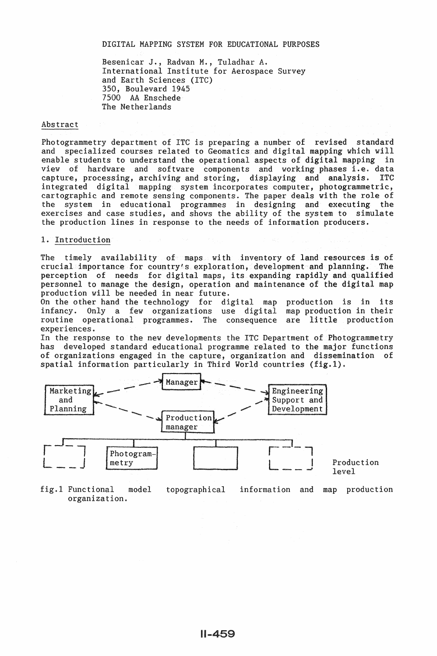#### DIGITAL MAPPING SYSTEM FOR EDUCATIONAL PURPOSES

Besenicar J., Radwan M., Tuladhar A. International Institute for Aerospace Survey and Earth Sciences (ITC) 350, Boulevard 1945 7500 AA Enschede The Netherlands

#### Abstract

Photogrammetry department of ITC is preparing a number of revised standard and specialized courses related to Geomatics and digital mapping which will enable students to understand the operational aspects of digital mapping in view of hardware and software components and working phases i.e. data capture, processing, archiving and storing, displaying and analysis. ITC integrated digital mapping system incorporates computer, photogrammetric, cartographic and remote sensing components. The paper deals with the role of the system in educational programmes in designing and executing the exercises and case studies, and shows the ability of the system to simulate the production lines in response to the needs of information producers.

#### 1. Introduction

The timely availability of maps with inventory of land resources is of crucial importance for country's exploration, development and planning. The perception of needs for digital maps, its expanding rapidly and qualified personnel to manage the design, operation and maintenance of the digital map production will be needed in near future.

On the other hand the technology for digital map production is in its infancy. Only a few organizations use digital map production in their routine operational programmes. The consequence are little production experiences.

In the response to the new developments the ITC Department of Photogrammetry has developed standard educational programme related to the major functions of organizations engaged in the capture, organization and dissemination of spatial information particularly in Third World countries  $(fig.1)$ .



fig.1 Functional model organization. topographical information and map production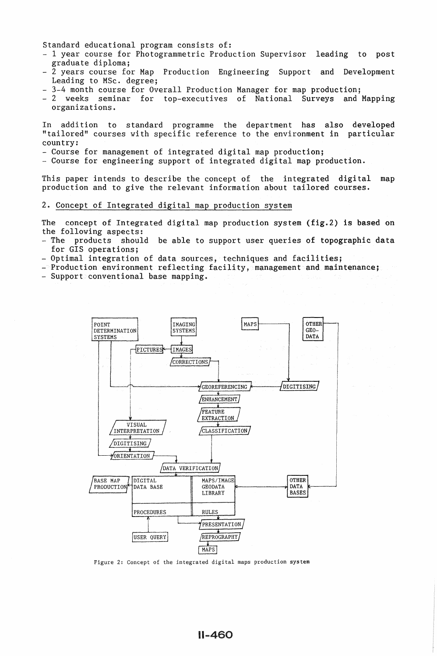Standard educational program consists of:

- 1 year course for Photogrammetric Production Supervisor leading to post graduate diploma;
- 2 years course for Map Production Engineering Support and Development Leading to MSc. degree;
- 3-4 month course for Overall Production Manager for map production;
- 2 weeks seminar for top-executives of National Surveys and Mapping organizations.

In addition to standard programme the department has also developed "tailored" courses with specific reference to the environment in particular country:<br>- Course for management of integrated digital map production;

- 
- Course for engineering support of integrated digital map production.

This paper intends to describe the concept of the integrated digital map production and to give the relevant information about tailored courses.

# 2. Concept of Integrated digital map production system

The concept of Integrated digital map production system (fig.2) is based on the following aspects:

- The products should be able to support user queries of topographic data for GIS operations;<br>- Optimal integration of data sources, techniques and facilities;
- 
- Production environment reflecting facility, management and maintenance; Support conventional base mapping.
- 



Figure 2: Concept of the integrated digital maps production system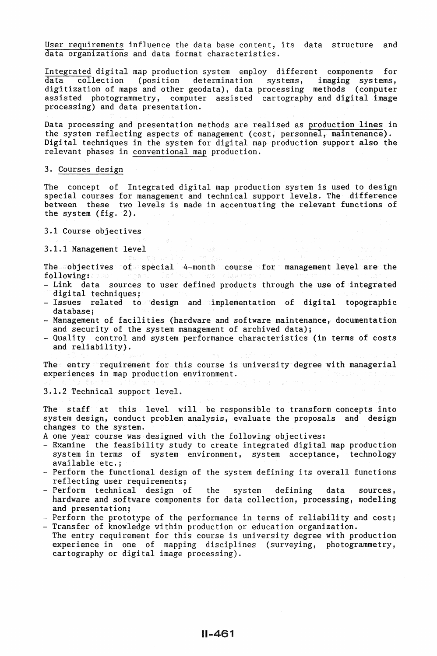User requirements influence the data base content, its data structure and data organizations and data format characteristics.

Integrated digital map production system employ different components for  $\delta$  (position determination systems, digitization of maps and other geodata), data processing methods (computer assisted photogrammetry, computer assisted cartography and digital image processing) and data presentation.

Data processing and presentation methods are realised as production lines in the system reflecting aspects of management (cost, personnel, maintenance). Digital techniques in the system for digital map production support also the relevant phases in conventional map production.

#### 3. Courses design

The concept of Integrated digital map production system is used to design special courses for management and technical support levels. The difference between these two levels is made in accentuating the relevant functions of the system (fig. 2).

3.1 Course objectives

3.1.1 Management level

The cobjectives of special 4-month course for management level are the following:

- Link data sources to user defined products through the use of integrated digital techniques;
- $-$  Issues related to design and implementation of digital topographic database;
- Management of facilities (hardware and software maintenance, documentation and security of the system management of archived data);
- Quality control and system performance characteristics (in terms of costs and reliability).

The entry requirement for this course is university degree with managerial experiences in map production environment.

3.1.2 Technical support level.

The staff at this level will be responsible to transform concepts into system design, conduct problem analysis, evaluate the proposals and design changes to the system.<br>A one year course was designed with the following objectives:

- 
- Examine the feasibility study to create integrated digital map production system in terms of system environment, system acceptance, technology available etc.;  $\blacksquare$  - Perform the functional design of the system defining its overall functions
- reflecting user requirements;
- Perform technical design of the system defining data sources, hardware and software components for data collection, processing, modeling<br>and presentation;
- Perform the prototype of the performance in terms of reliability and cost; Transfer of knowledge within production or education organization.
- The entry requirement for this course is university degree with production experience in one of mapping disciplines (surveying, photogrammetry, cartography or digital image processing).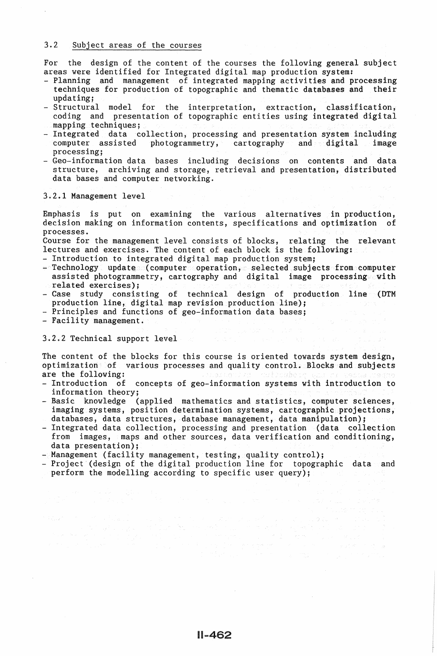## 3.2 Subject areas of the courses

For the design of the content of the courses the following general subject areas were identified for Integrated digital map production system:

- Planning and management of integrated mapping activities and processing techniques for production of topographic and thematic databases and their updating;
- Structural model for the interpretation, extraction, classification, coding and presentation of topographic entities using integrated digital mapping techniques:
- Integrated data collection, processing and presentation system including<br>computer assisted photogrammetry, cartography and digital image computer assisted photogrammetry, cartography and digital processing:
- Geo-information data bases including decisions on contents and data structure, archiving and storage, retrieval and presentation, distributed data bases and computer networking.

3.2.1 Management level

Emphasis is put on examining the various alternatives in production, decision making on information contents, specifications and optimization of processes.

Course for the management level consists of blocks, relating the relevant lectures and exercises. The content of each block is the following: lectures and exercises. The content of each block is the following: 4<br>- Introduction to integrated digital map production system;<br>- Technology update (computer operation, selected subjects from computer

- 
- assisted photogrammetry, cartography and digital image processing with
- exercises);  $\frac{1}{2}$  case study consisting of technical design of production line (DTM production line, digital map revision production line);<br>- Principles and functions of geo-information data bases;<br>- Facility management.
- 
- 

# 3.2.2 Technical support level and the state

The content of the blocks for this course is oriented towards system design, optimization of various processes and quality control. Blocks and subjects are the following:

- Introduction of concepts of geo-information systems with introduction to information theory;
- Basic knowledge (applied mathematics and statistics, computer sciences, imaging systems, position determination systems, cartographic projections, databases, data structures, database management, data manipulation);
- Integrated data collection, processing and presentation (data collection from images, maps and other sources, data verification and conditioning, data presentation);
- 
- Management (facility management, testing, quality control);<br>- Project (design of the digital production line for topographic data and perform the modelling according to specific user query);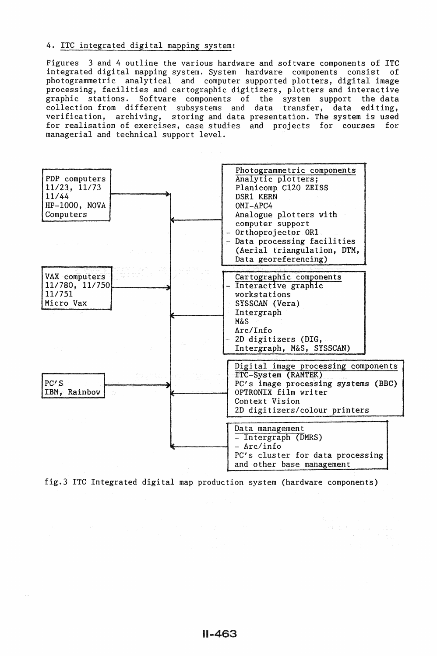# 4. ITC integrated digital mapping system:

Figures 3 and 4 outline the various hardware and software components of ITC integrated digital mapping system. System hardware components consist of photogrammetric analytical and computer supported plotters, digital image processing, facilities and cartographic digitizers, plotters and interactive<br>graphic stations. Software components of the system support the data Software components of the system support the data collection from different subsystems and data transfer, data editing, verification, archiving, storing and data presentation. The system is used for realisation of exercises, case studies and projects for courses for managerial and technical support level.



fig.3 ITC Integrated digital map production system (hardware components)